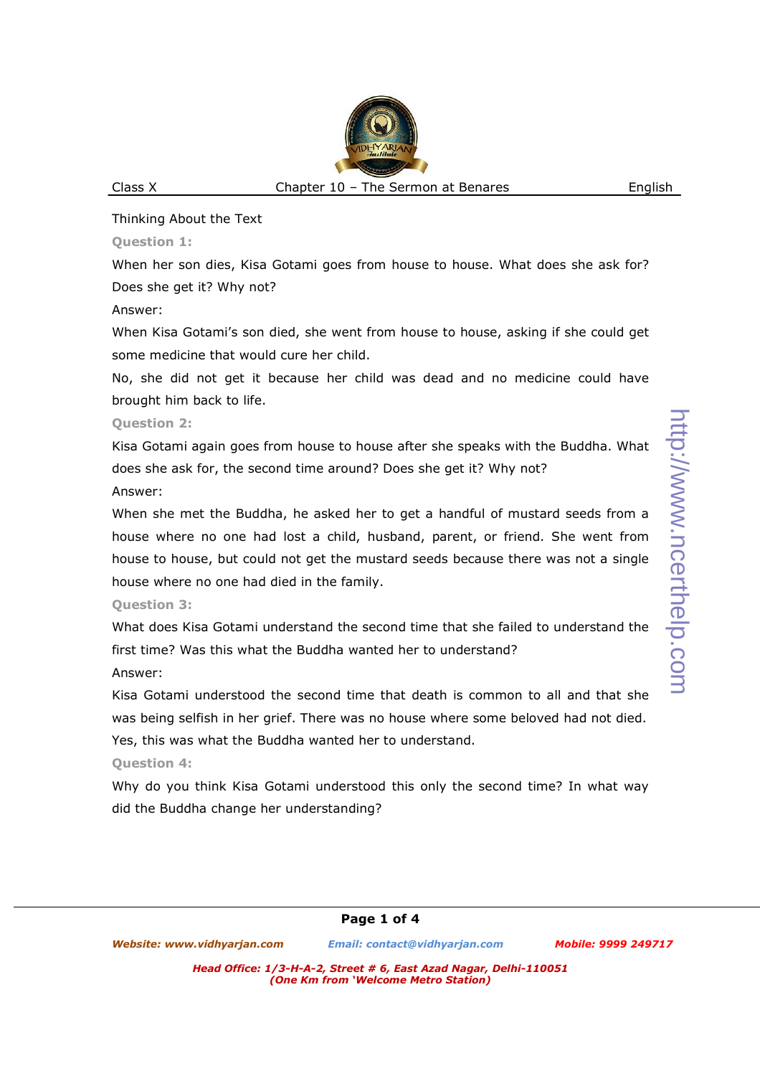**Question 1:** 

When her son dies, Kisa Gotami goes from house to house. What does she ask for? Does she get it? Why not?

Answer:

When Kisa Gotami's son died, she went from house to house, asking if she could get some medicine that would cure her child.

No, she did not get it because her child was dead and no medicine could have brought him back to life.

**Question 2:** 

Kisa Gotami again goes from house to house after she speaks with the Buddha. What does she ask for, the second time around? Does she get it? Why not?

Answer:

When she met the Buddha, he asked her to get a handful of mustard seeds from a house where no one had lost a child, husband, parent, or friend. She went from house to house, but could not get the mustard seeds because there was not a single house where no one had died in the family.

# **Question 3:**

What does Kisa Gotami understand the second time that she failed to understand the first time? Was this what the Buddha wanted her to understand?

Answer:

Kisa Gotami understood the second time that death is common to all and that she was being selfish in her grief. There was no house where some beloved had not died. Yes, this was what the Buddha wanted her to understand.

**Question 4:** 

Why do you think Kisa Gotami understood this only the second time? In what way did the Buddha change her understanding?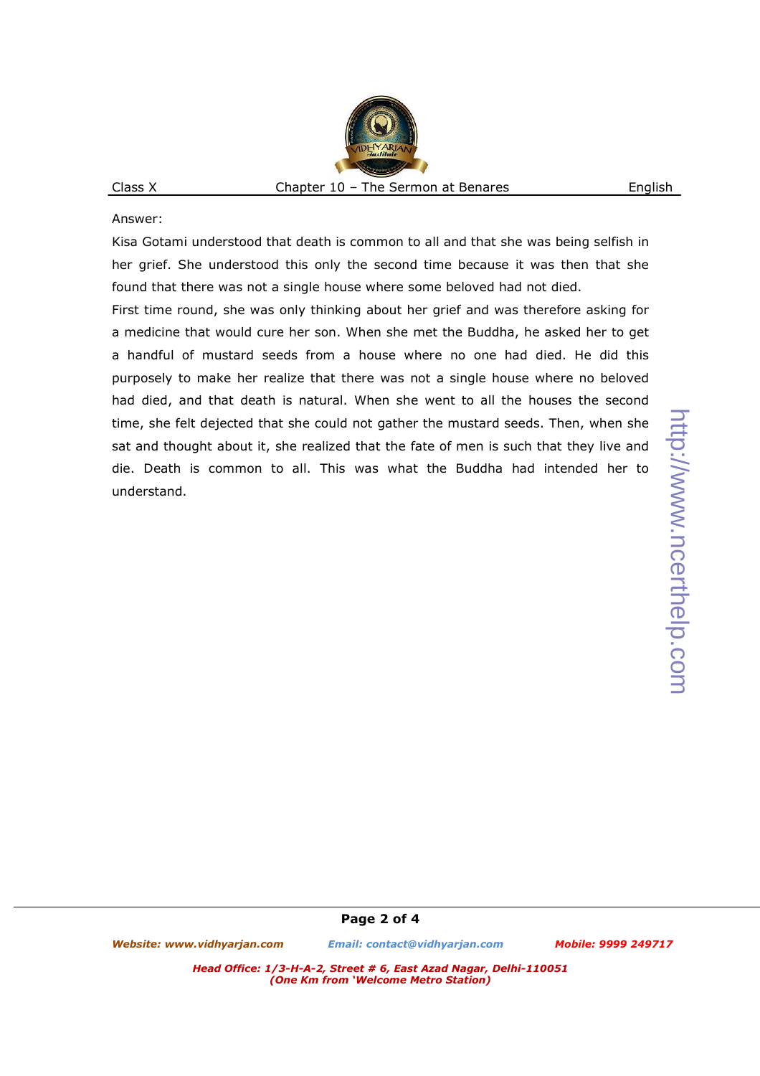Answer:

Kisa Gotami understood that death is common to all and that she was being selfish in her grief. She understood this only the second time because it was then that she found that there was not a single house where some beloved had not died.

First time round, she was only thinking about her grief and was therefore asking for a medicine that would cure her son. When she met the Buddha, he asked her to get a handful of mustard seeds from a house where no one had died. He did this purposely to make her realize that there was not a single house where no beloved had died, and that death is natural. When she went to all the houses the second time, she felt dejected that she could not gather the mustard seeds. Then, when she sat and thought about it, she realized that the fate of men is such that they live and die. Death is common to all. This was what the Buddha had intended her to understand.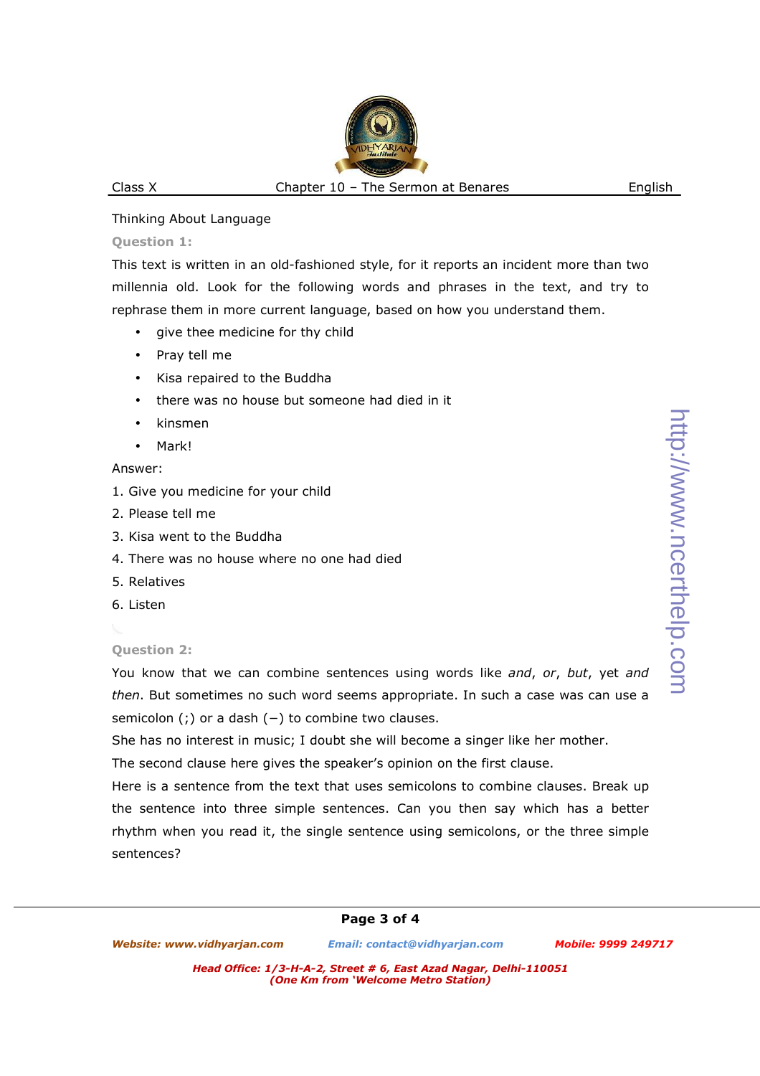#### Thinking About Language

### **Question 1:**

This text is written in an old-fashioned style, for it reports an incident more than two millennia old. Look for the following words and phrases in the text, and try to rephrase them in more current language, based on how you understand them.

- give thee medicine for thy child
- Pray tell me
- Kisa repaired to the Buddha
- there was no house but someone had died in it
- kinsmen
- Mark!

### Answer:

- 1. Give you medicine for your child
- 2. Please tell me
- 3. Kisa went to the Buddha
- 4. There was no house where no one had died
- 5. Relatives
- 6. Listen

## **Question 2:**

You know that we can combine sentences using words like *and*, *or*, *but*, yet *and then*. But sometimes no such word seems appropriate. In such a case was can use a semicolon (;) or a dash (−) to combine two clauses.

She has no interest in music; I doubt she will become a singer like her mother.

The second clause here gives the speaker's opinion on the first clause.

Here is a sentence from the text that uses semicolons to combine clauses. Break up the sentence into three simple sentences. Can you then say which has a better rhythm when you read it, the single sentence using semicolons, or the three simple sentences?